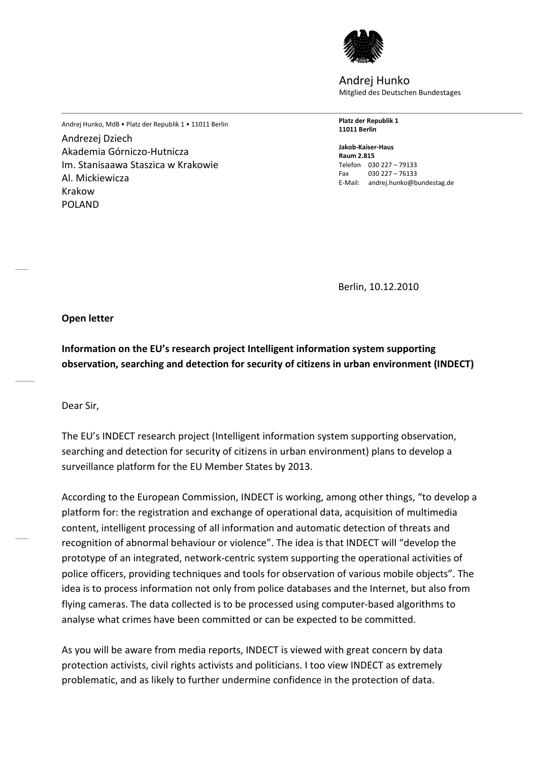

Andrej Hunko Mitglied des Deutschen Bundestages

Andrej Hunko, MdB • Platz der Republik 1 • 11011 Berlin **Platz der Republik 1 11011 Berlin**

> **Jakob-Kaiser-Haus Raum 2.815** Telefon 030 227 – 79133 Fax 030 227 – 76133 E-Mail: andrej.hunko@bundestag.de

ggg Berlin, 10.12.2010

**Open letter**

Andrezej Dziech

Al. Mickiewicza

Krakow POLAND

Akademia Górniczo-Hutnicza

Im. Stanisaawa Staszica w Krakowie

**Information on the EU's research project Intelligent information system supporting observation, searching and detection for security of citizens in urban environment (INDECT)**

Dear Sir,

The EU's INDECT research project (Intelligent information system supporting observation, searching and detection for security of citizens in urban environment) plans to develop a surveillance platform for the EU Member States by 2013.

According to the European Commission, INDECT is working, among other things, "to develop a platform for: the registration and exchange of operational data, acquisition of multimedia content, intelligent processing of all information and automatic detection of threats and recognition of abnormal behaviour or violence". The idea is that INDECT will "develop the prototype of an integrated, network-centric system supporting the operational activities of police officers, providing techniques and tools for observation of various mobile objects". The idea is to process information not only from police databases and the Internet, but also from flying cameras. The data collected is to be processed using computer-based algorithms to analyse what crimes have been committed or can be expected to be committed.

As you will be aware from media reports, INDECT is viewed with great concern by data protection activists, civil rights activists and politicians. I too view INDECT as extremely problematic, and as likely to further undermine confidence in the protection of data.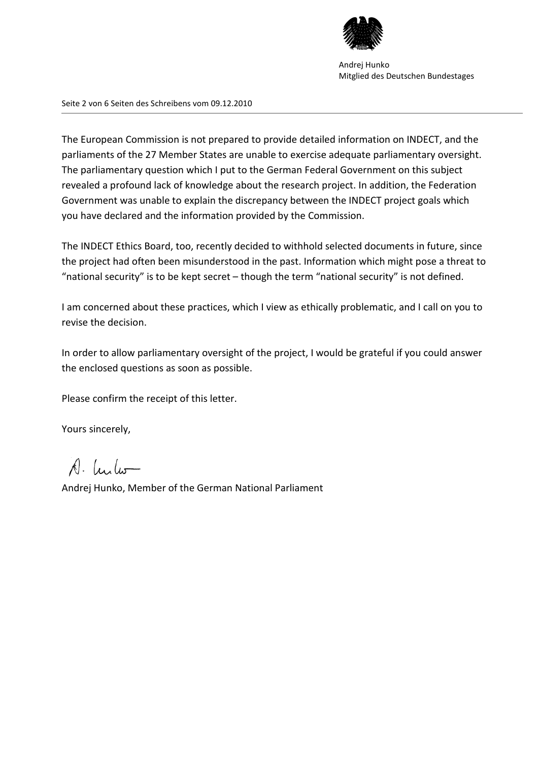

Andrej Hunko Mitglied des Deutschen Bundestages

Seite 2 von 6 Seiten des Schreibens vom 09.12.2010

The European Commission is not prepared to provide detailed information on INDECT, and the parliaments of the 27 Member States are unable to exercise adequate parliamentary oversight. The parliamentary question which I put to the German Federal Government on this subject revealed a profound lack of knowledge about the research project. In addition, the Federation Government was unable to explain the discrepancy between the INDECT project goals which you have declared and the information provided by the Commission.

The INDECT Ethics Board, too, recently decided to withhold selected documents in future, since the project had often been misunderstood in the past. Information which might pose a threat to "national security" is to be kept secret – though the term "national security" is not defined.

I am concerned about these practices, which I view as ethically problematic, and I call on you to revise the decision.

In order to allow parliamentary oversight of the project, I would be grateful if you could answer the enclosed questions as soon as possible.

Please confirm the receipt of this letter.

Yours sincerely,

A. Lulo

Andrej Hunko, Member of the German National Parliament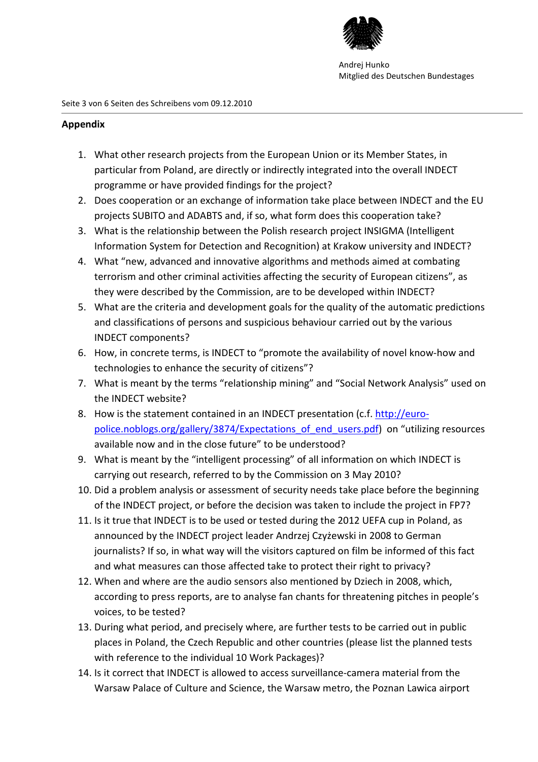

## **Appendix**

- 1. What other research projects from the European Union or its Member States, in particular from Poland, are directly or indirectly integrated into the overall INDECT programme or have provided findings for the project?
- 2. Does cooperation or an exchange of information take place between INDECT and the EU projects SUBITO and ADABTS and, if so, what form does this cooperation take?
- 3. What is the relationship between the Polish research project INSIGMA (Intelligent Information System for Detection and Recognition) at Krakow university and INDECT?
- 4. What "new, advanced and innovative algorithms and methods aimed at combating terrorism and other criminal activities affecting the security of European citizens", as they were described by the Commission, are to be developed within INDECT?
- 5. What are the criteria and development goals for the quality of the automatic predictions and classifications of persons and suspicious behaviour carried out by the various INDECT components?
- 6. How, in concrete terms, is INDECT to "promote the availability of novel know-how and technologies to enhance the security of citizens"?
- 7. What is meant by the terms "relationship mining" and "Social Network Analysis" used on the INDECT website?
- 8. How is the statement contained in an INDECT presentation (c.f. http://europolice.noblogs.org/gallery/3874/Expectations\_of\_end\_users.pdf) on "utilizing resources available now and in the close future" to be understood?
- 9. What is meant by the "intelligent processing" of all information on which INDECT is carrying out research, referred to by the Commission on 3 May 2010?
- 10. Did a problem analysis or assessment of security needs take place before the beginning of the INDECT project, or before the decision was taken to include the project in FP7?
- 11. Is it true that INDECT is to be used or tested during the 2012 UEFA cup in Poland, as announced by the INDECT project leader Andrzej Czyżewski in 2008 to German journalists? If so, in what way will the visitors captured on film be informed of this fact and what measures can those affected take to protect their right to privacy?
- 12. When and where are the audio sensors also mentioned by Dziech in 2008, which, according to press reports, are to analyse fan chants for threatening pitches in people's voices, to be tested?
- 13. During what period, and precisely where, are further tests to be carried out in public places in Poland, the Czech Republic and other countries (please list the planned tests with reference to the individual 10 Work Packages)?
- 14. Is it correct that INDECT is allowed to access surveillance-camera material from the Warsaw Palace of Culture and Science, the Warsaw metro, the Poznan Lawica airport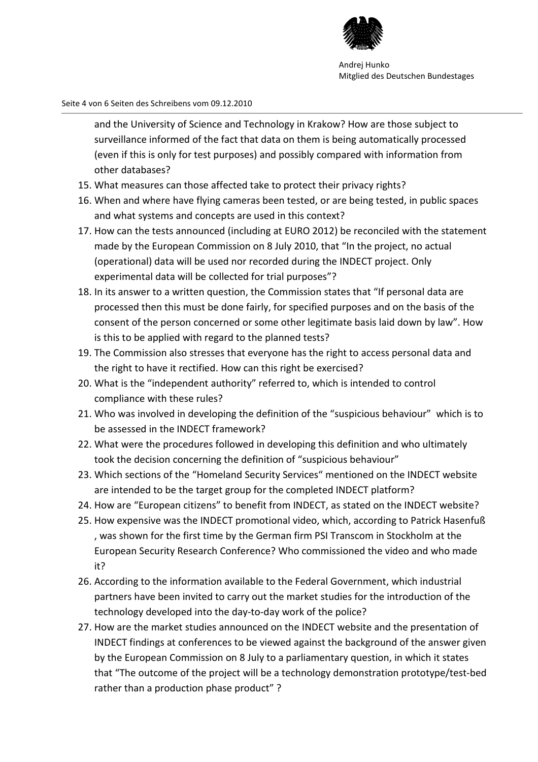

Seite 4 von 6 Seiten des Schreibens vom 09.12.2010

and the University of Science and Technology in Krakow? How are those subject to surveillance informed of the fact that data on them is being automatically processed (even if this is only for test purposes) and possibly compared with information from other databases?

- 15. What measures can those affected take to protect their privacy rights?
- 16. When and where have flying cameras been tested, or are being tested, in public spaces and what systems and concepts are used in this context?
- 17. How can the tests announced (including at EURO 2012) be reconciled with the statement made by the European Commission on 8 July 2010, that "In the project, no actual (operational) data will be used nor recorded during the INDECT project. Only experimental data will be collected for trial purposes"?
- 18. In its answer to a written question, the Commission states that "If personal data are processed then this must be done fairly, for specified purposes and on the basis of the consent of the person concerned or some other legitimate basis laid down by law". How is this to be applied with regard to the planned tests?
- 19. The Commission also stresses that everyone has the right to access personal data and the right to have it rectified. How can this right be exercised?
- 20. What is the "independent authority" referred to, which is intended to control compliance with these rules?
- 21. Who was involved in developing the definition of the "suspicious behaviour" which is to be assessed in the INDECT framework?
- 22. What were the procedures followed in developing this definition and who ultimately took the decision concerning the definition of "suspicious behaviour"
- 23. Which sections of the "Homeland Security Services" mentioned on the INDECT website are intended to be the target group for the completed INDECT platform?
- 24. How are "European citizens" to benefit from INDECT, as stated on the INDECT website?
- 25. How expensive was the INDECT promotional video, which, according to Patrick Hasenfuß , was shown for the first time by the German firm PSI Transcom in Stockholm at the European Security Research Conference? Who commissioned the video and who made it?
- 26. According to the information available to the Federal Government, which industrial partners have been invited to carry out the market studies for the introduction of the technology developed into the day-to-day work of the police?
- 27. How are the market studies announced on the INDECT website and the presentation of INDECT findings at conferences to be viewed against the background of the answer given by the European Commission on 8 July to a parliamentary question, in which it states that "The outcome of the project will be a technology demonstration prototype/test-bed rather than a production phase product" ?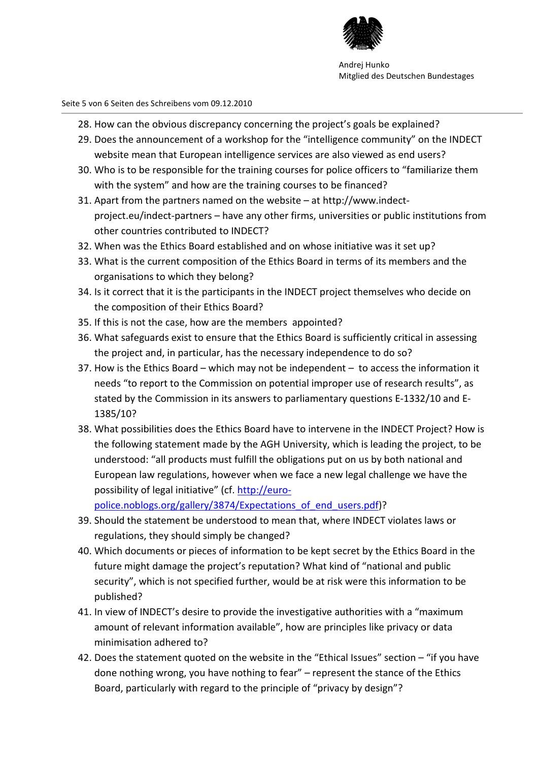

Seite 5 von 6 Seiten des Schreibens vom 09.12.2010

- 28. How can the obvious discrepancy concerning the project's goals be explained?
- 29. Does the announcement of a workshop for the "intelligence community" on the INDECT website mean that European intelligence services are also viewed as end users?
- 30. Who is to be responsible for the training courses for police officers to "familiarize them with the system" and how are the training courses to be financed?
- 31. Apart from the partners named on the website at http://www.indectproject.eu/indect-partners – have any other firms, universities or public institutions from other countries contributed to INDECT?
- 32. When was the Ethics Board established and on whose initiative was it set up?
- 33. What is the current composition of the Ethics Board in terms of its members and the organisations to which they belong?
- 34. Is it correct that it is the participants in the INDECT project themselves who decide on the composition of their Ethics Board?
- 35. If this is not the case, how are the members appointed?
- 36. What safeguards exist to ensure that the Ethics Board is sufficiently critical in assessing the project and, in particular, has the necessary independence to do so?
- 37. How is the Ethics Board which may not be independent to access the information it needs "to report to the Commission on potential improper use of research results", as stated by the Commission in its answers to parliamentary questions E-1332/10 and E-1385/10?
- 38. What possibilities does the Ethics Board have to intervene in the INDECT Project? How is the following statement made by the AGH University, which is leading the project, to be understood: "all products must fulfill the obligations put on us by both national and European law regulations, however when we face a new legal challenge we have the possibility of legal initiative" (cf. http://euro-

police.noblogs.org/gallery/3874/Expectations of end users.pdf)?

- 39. Should the statement be understood to mean that, where INDECT violates laws or regulations, they should simply be changed?
- 40. Which documents or pieces of information to be kept secret by the Ethics Board in the future might damage the project's reputation? What kind of "national and public security", which is not specified further, would be at risk were this information to be published?
- 41. In view of INDECT's desire to provide the investigative authorities with a "maximum amount of relevant information available", how are principles like privacy or data minimisation adhered to?
- 42. Does the statement quoted on the website in the "Ethical Issues" section "if you have done nothing wrong, you have nothing to fear" – represent the stance of the Ethics Board, particularly with regard to the principle of "privacy by design"?